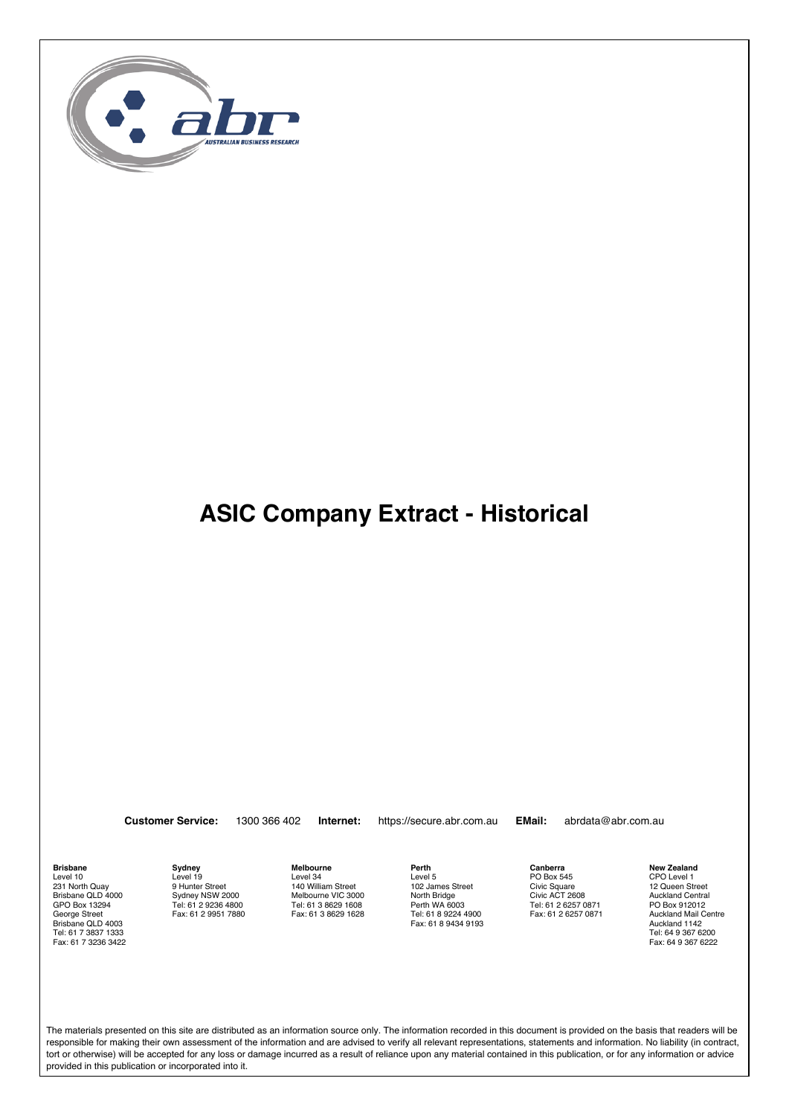

**Customer Service:** 1300 366 402 **Internet:** https://secure.abr.com.au **EMail:** abrdata@abr.com.au

**Brisbane** Level 10 231 North Quay Brisbane QLD 4000 GPO Box 13294 George Street Brisbane QLD 4003 Tel: 61 7 3837 1333 Fax: 61 7 3236 3422 **Sydney** Level 19 9 Hunter Street Sydney NSW 2000 Tel: 61 2 9236 4800 Fax: 61 2 9951 7880 **Melbourne** Level 34 140 William Street Melbourne VIC 3000 Tel: 61 3 8629 1608 Fax: 61 3 8629 1628 **Perth** Level 5 102 James Street North Bridge Perth WA 6003 Tel: 61 8 9224 4900 Fax: 61 8 9434 9193 **Canberra** PO Box 545 Civic Square Civic ACT 2608 Tel: 61 2 6257 0871 Fax: 61 2 6257 0871 **New Zealand**

CPO Level 1 12 Queen Street Auckland Central PO Box 912012 Auckland Mail Centre Auckland 1142 Tel: 64 9 367 6200 Fax: 64 9 367 6222

The materials presented on this site are distributed as an information source only. The information recorded in this document is provided on the basis that readers will be responsible for making their own assessment of the information and are advised to verify all relevant representations, statements and information. No liability (in contract, tort or otherwise) will be accepted for any loss or damage incurred as a result of reliance upon any material contained in this publication, or for any information or advice provided in this publication or incorporated into it.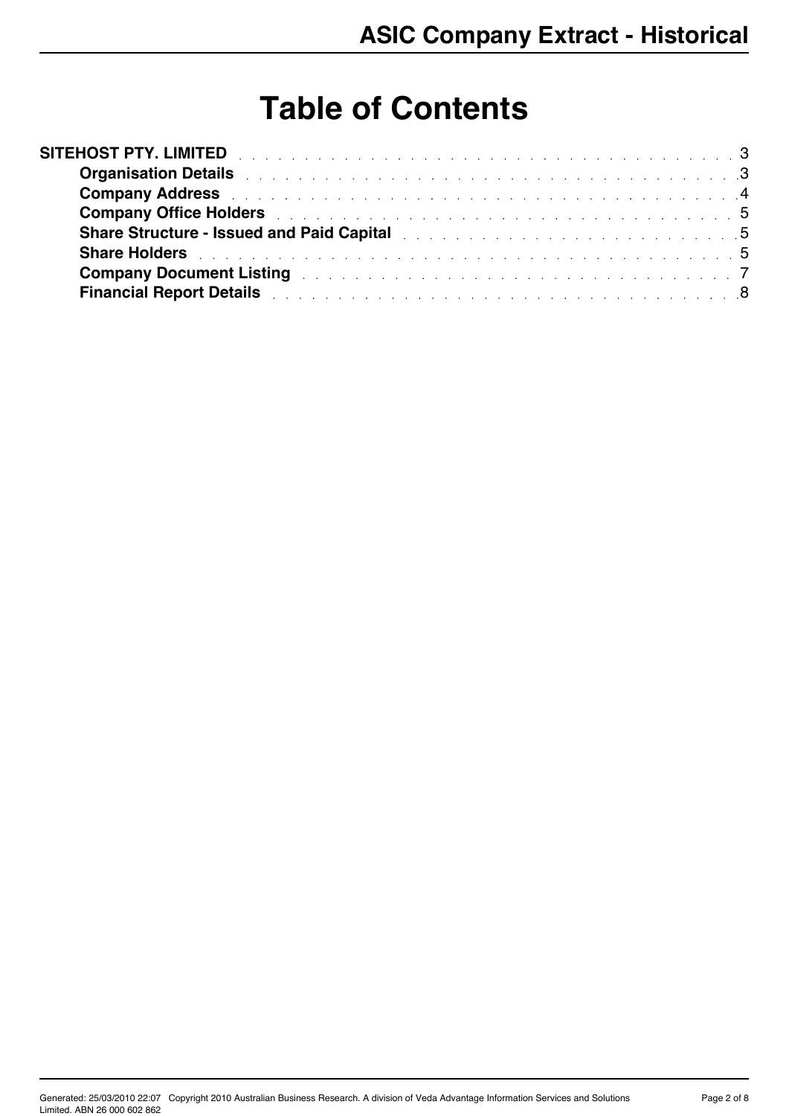# **Table of Contents**

| SITEHOST PTY. LIMITED <b>And Limited SITEHOST PTY.</b> LIMITED                                                                                                                                                                 |  |
|--------------------------------------------------------------------------------------------------------------------------------------------------------------------------------------------------------------------------------|--|
|                                                                                                                                                                                                                                |  |
| Company Address experiences and the contract of the contract of the contract of the contract of the contract of the contract of the contract of the contract of the contract of the contract of the contract of the contract o |  |
| <b>Company Office Holders Company Office Holders Company Office Holders</b>                                                                                                                                                    |  |
| Share Structure - Issued and Paid Capital Material Accounts and Accounts and Accounts and Accounts and Accounts and Accounts and Accounts and Accounts and Accounts and Accounts and Accounts and Accounts and Accounts and Ac |  |
|                                                                                                                                                                                                                                |  |
| <b>Company Document Listing the company of the Listing Company Document Listing Company Company of the Company of T</b>                                                                                                        |  |
| Financial Report Details and a contract of the contract of the contract of the B                                                                                                                                               |  |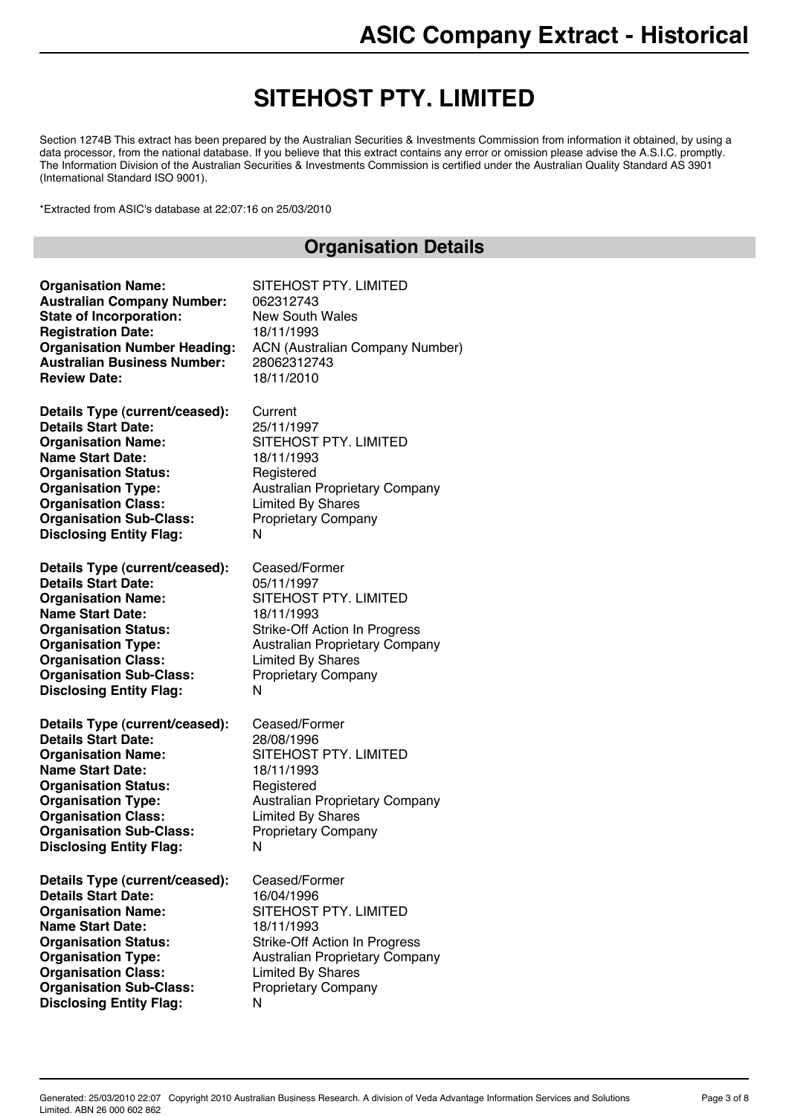## **SITEHOST PTY. LIMITED**

Section 1274B This extract has been prepared by the Australian Securities & Investments Commission from information it obtained, by using a data processor, from the national database. If you believe that this extract contains any error or omission please advise the A.S.I.C. promptly. The Information Division of the Australian Securities & Investments Commission is certified under the Australian Quality Standard AS 3901 (International Standard ISO 9001).

\*Extracted from ASIC's database at 22:07:16 on 25/03/2010

#### **Organisation Details**

<span id="page-2-0"></span>

| <b>Organisation Name:</b>           | SITEHOST PTY. LIMITED                  |
|-------------------------------------|----------------------------------------|
| <b>Australian Company Number:</b>   | 062312743                              |
| <b>State of Incorporation:</b>      | <b>New South Wales</b>                 |
| <b>Registration Date:</b>           | 18/11/1993                             |
| <b>Organisation Number Heading:</b> | <b>ACN (Australian Company Number)</b> |
| <b>Australian Business Number:</b>  | 28062312743                            |
| <b>Review Date:</b>                 | 18/11/2010                             |
| Details Type (current/ceased):      | Current                                |
| <b>Details Start Date:</b>          | 25/11/1997                             |
| <b>Organisation Name:</b>           | SITEHOST PTY. LIMITED                  |
| <b>Name Start Date:</b>             | 18/11/1993                             |
| <b>Organisation Status:</b>         | Registered                             |
| <b>Organisation Type:</b>           | <b>Australian Proprietary Company</b>  |
| <b>Organisation Class:</b>          | <b>Limited By Shares</b>               |
| <b>Organisation Sub-Class:</b>      | <b>Proprietary Company</b>             |
| <b>Disclosing Entity Flag:</b>      | N                                      |
| Details Type (current/ceased):      | Ceased/Former                          |
| <b>Details Start Date:</b>          | 05/11/1997                             |
| <b>Organisation Name:</b>           | SITEHOST PTY. LIMITED                  |
| <b>Name Start Date:</b>             | 18/11/1993                             |
| <b>Organisation Status:</b>         | <b>Strike-Off Action In Progress</b>   |
| <b>Organisation Type:</b>           | Australian Proprietary Company         |
| <b>Organisation Class:</b>          | <b>Limited By Shares</b>               |
| <b>Organisation Sub-Class:</b>      | <b>Proprietary Company</b>             |
| <b>Disclosing Entity Flag:</b>      | N                                      |
| Details Type (current/ceased):      | Ceased/Former                          |
| <b>Details Start Date:</b>          | 28/08/1996                             |
| <b>Organisation Name:</b>           | SITEHOST PTY. LIMITED                  |
| <b>Name Start Date:</b>             | 18/11/1993                             |
| <b>Organisation Status:</b>         | Registered                             |
| <b>Organisation Type:</b>           | Australian Proprietary Company         |
| <b>Organisation Class:</b>          | <b>Limited By Shares</b>               |
| <b>Organisation Sub-Class:</b>      | Proprietary Company                    |
| <b>Disclosing Entity Flag:</b>      | N                                      |
| Details Type (current/ceased):      | Ceased/Former                          |
| <b>Details Start Date:</b>          | 16/04/1996                             |
| <b>Organisation Name:</b>           | SITEHOST PTY. LIMITED                  |
| <b>Name Start Date:</b>             | 18/11/1993                             |
| <b>Organisation Status:</b>         | Strike-Off Action In Progress          |
| <b>Organisation Type:</b>           | <b>Australian Proprietary Company</b>  |
| <b>Organisation Class:</b>          | <b>Limited By Shares</b>               |
| <b>Organisation Sub-Class:</b>      | <b>Proprietary Company</b>             |
| <b>Disclosing Entity Flag:</b>      | N                                      |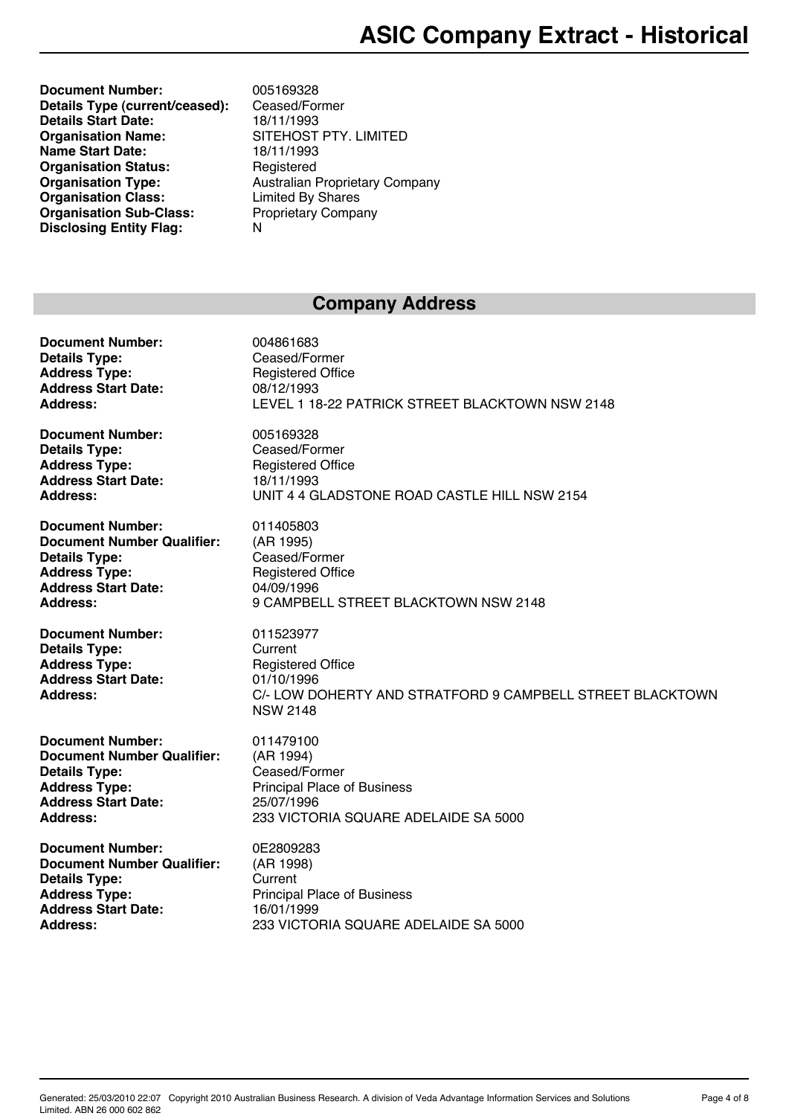**Document Number:** 005169328 **Details Type (current/ceased):** Ceased/Former **Details Start Date:** 18/11/1993 **Organisation Name:** SITEHOST PTY. LIMITED **Name Start Date:** 18/11/1993 **Organisation Status:** Registered **Organisation Type:** Australian Proprietary Company<br> **Organisation Class:** Limited By Shares **Organisation Class:** Limited By Shares<br> **Organisation Sub-Class:** Proprietary Company **Organisation Sub-Class:** Proprietary Proprietary Proprietary Proprietary Proprietary Proprietary Proprietary Pro<br>Notation Company Proprietary Proprietary Proprietary Proprietary Proprietary Proprietary Proprietary Proprie **Disclosing Entity Flag:** 

#### **Company Address**

<span id="page-3-0"></span>

| <b>Document Number:</b>                                                                                                  | 004861683                                                                                                                                      |
|--------------------------------------------------------------------------------------------------------------------------|------------------------------------------------------------------------------------------------------------------------------------------------|
| <b>Details Type:</b>                                                                                                     | Ceased/Former                                                                                                                                  |
| <b>Address Type:</b>                                                                                                     | <b>Registered Office</b>                                                                                                                       |
| <b>Address Start Date:</b>                                                                                               | 08/12/1993                                                                                                                                     |
| <b>Address:</b>                                                                                                          | LEVEL 1 18-22 PATRICK STREET BLACKTOWN NSW 2148                                                                                                |
| <b>Document Number:</b>                                                                                                  | 005169328                                                                                                                                      |
| <b>Details Type:</b>                                                                                                     | Ceased/Former                                                                                                                                  |
| <b>Address Type:</b>                                                                                                     | <b>Registered Office</b>                                                                                                                       |
| <b>Address Start Date:</b>                                                                                               | 18/11/1993                                                                                                                                     |
| Address:                                                                                                                 | UNIT 4 4 GLADSTONE ROAD CASTLE HILL NSW 2154                                                                                                   |
| <b>Document Number:</b>                                                                                                  | 011405803                                                                                                                                      |
| <b>Document Number Qualifier:</b>                                                                                        | (AR 1995)                                                                                                                                      |
| <b>Details Type:</b>                                                                                                     | Ceased/Former                                                                                                                                  |
| <b>Address Type:</b>                                                                                                     | <b>Registered Office</b>                                                                                                                       |
| <b>Address Start Date:</b>                                                                                               | 04/09/1996                                                                                                                                     |
| Address:                                                                                                                 | 9 CAMPBELL STREET BLACKTOWN NSW 2148                                                                                                           |
| <b>Document Number:</b><br><b>Details Type:</b><br><b>Address Type:</b><br><b>Address Start Date:</b><br><b>Address:</b> | 011523977<br>Current<br><b>Registered Office</b><br>01/10/1996<br>C/- LOW DOHERTY AND STRATFORD 9 CAMPBELL STREET BLACKTOWN<br><b>NSW 2148</b> |
| <b>Document Number:</b>                                                                                                  | 011479100                                                                                                                                      |
| <b>Document Number Qualifier:</b>                                                                                        | (AR 1994)                                                                                                                                      |
| <b>Details Type:</b>                                                                                                     | Ceased/Former                                                                                                                                  |
| <b>Address Type:</b>                                                                                                     | <b>Principal Place of Business</b>                                                                                                             |
| <b>Address Start Date:</b>                                                                                               | 25/07/1996                                                                                                                                     |
| <b>Address:</b>                                                                                                          | 233 VICTORIA SQUARE ADELAIDE SA 5000                                                                                                           |
| <b>Document Number:</b>                                                                                                  | 0E2809283                                                                                                                                      |
| <b>Document Number Qualifier:</b>                                                                                        | (AR 1998)                                                                                                                                      |
| <b>Details Type:</b>                                                                                                     | Current                                                                                                                                        |
| <b>Address Type:</b>                                                                                                     | <b>Principal Place of Business</b>                                                                                                             |
| <b>Address Start Date:</b>                                                                                               | 16/01/1999                                                                                                                                     |
| Address:                                                                                                                 | 233 VICTORIA SQUARE ADELAIDE SA 5000                                                                                                           |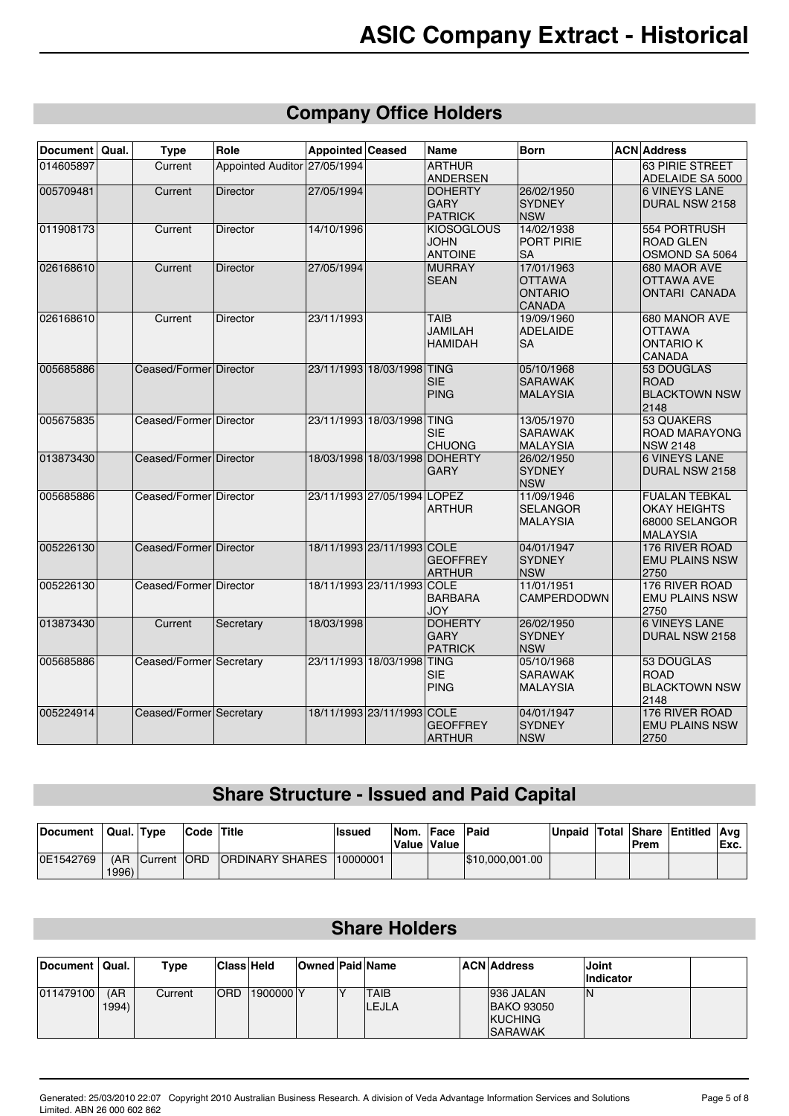## **Company Office Holders**

| Document  | Qual. | <b>Type</b>             | Role                         | Appointed Ceased |                               | <b>Name</b>                                        | <b>Born</b>                                                    | <b>ACN</b> Address                                                                |
|-----------|-------|-------------------------|------------------------------|------------------|-------------------------------|----------------------------------------------------|----------------------------------------------------------------|-----------------------------------------------------------------------------------|
| 014605897 |       | Current                 | Appointed Auditor 27/05/1994 |                  |                               | <b>ARTHUR</b><br><b>ANDERSEN</b>                   |                                                                | 63 PIRIE STREET<br>ADELAIDE SA 5000                                               |
| 005709481 |       | Current                 | <b>Director</b>              | 27/05/1994       |                               | <b>DOHERTY</b><br><b>GARY</b><br><b>PATRICK</b>    | 26/02/1950<br><b>SYDNEY</b><br><b>NSW</b>                      | <b>6 VINEYS LANE</b><br>DURAL NSW 2158                                            |
| 011908173 |       | Current                 | <b>Director</b>              | 14/10/1996       |                               | <b>KIOSOGLOUS</b><br><b>JOHN</b><br><b>ANTOINE</b> | 14/02/1938<br><b>PORT PIRIE</b><br><b>SA</b>                   | 554 PORTRUSH<br><b>ROAD GLEN</b><br>OSMOND SA 5064                                |
| 026168610 |       | Current                 | <b>Director</b>              | 27/05/1994       |                               | <b>MURRAY</b><br><b>SEAN</b>                       | 17/01/1963<br><b>OTTAWA</b><br><b>ONTARIO</b><br><b>CANADA</b> | 680 MAOR AVE<br><b>OTTAWA AVE</b><br><b>ONTARI CANADA</b>                         |
| 026168610 |       | Current                 | <b>Director</b>              | 23/11/1993       |                               | <b>TAIB</b><br><b>JAMILAH</b><br><b>HAMIDAH</b>    | 19/09/1960<br><b>ADELAIDE</b><br>SA                            | 680 MANOR AVE<br><b>OTTAWA</b><br><b>ONTARIO K</b><br>CANADA                      |
| 005685886 |       | Ceased/Former Director  |                              |                  | 23/11/1993 18/03/1998 TING    | <b>SIE</b><br><b>PING</b>                          | 05/10/1968<br><b>SARAWAK</b><br><b>MALAYSIA</b>                | 53 DOUGLAS<br>ROAD<br><b>BLACKTOWN NSW</b><br>2148                                |
| 005675835 |       | Ceased/Former Director  |                              |                  | 23/11/1993 18/03/1998 TING    | <b>SIE</b><br><b>CHUONG</b>                        | 13/05/1970<br><b>SARAWAK</b><br>MALAYSIA                       | 53 QUAKERS<br><b>ROAD MARAYONG</b><br><b>NSW 2148</b>                             |
| 013873430 |       | Ceased/Former Director  |                              |                  | 18/03/1998 18/03/1998 DOHERTY | <b>GARY</b>                                        | 26/02/1950<br><b>SYDNEY</b><br><b>NSW</b>                      | <b>6 VINEYS LANE</b><br><b>DURAL NSW 2158</b>                                     |
| 005685886 |       | Ceased/Former Director  |                              |                  | 23/11/1993 27/05/1994 LOPEZ   | <b>ARTHUR</b>                                      | 11/09/1946<br><b>SELANGOR</b><br><b>MALAYSIA</b>               | <b>FUALAN TEBKAL</b><br><b>OKAY HEIGHTS</b><br>68000 SELANGOR<br><b>IMALAYSIA</b> |
| 005226130 |       | Ceased/Former Director  |                              |                  | 18/11/1993 23/11/1993 COLE    | <b>GEOFFREY</b><br><b>ARTHUR</b>                   | 04/01/1947<br><b>SYDNEY</b><br><b>NSW</b>                      | 176 RIVER ROAD<br><b>EMU PLAINS NSW</b><br>2750                                   |
| 005226130 |       | Ceased/Former Director  |                              |                  | 18/11/1993 23/11/1993 COLE    | <b>BARBARA</b><br>JOY                              | 11/01/1951<br>CAMPERDODWN                                      | 176 RIVER ROAD<br><b>EMU PLAINS NSW</b><br>2750                                   |
| 013873430 |       | Current                 | Secretary                    | 18/03/1998       |                               | <b>DOHERTY</b><br><b>GARY</b><br><b>PATRICK</b>    | 26/02/1950<br><b>SYDNEY</b><br><b>NSW</b>                      | <b>6 VINEYS LANE</b><br>DURAL NSW 2158                                            |
| 005685886 |       | Ceased/Former Secretary |                              |                  | 23/11/1993 18/03/1998 TING    | <b>SIE</b><br><b>PING</b>                          | 05/10/1968<br><b>SARAWAK</b><br>MALAYSIA                       | 53 DOUGLAS<br><b>ROAD</b><br><b>BLACKTOWN NSW</b><br>2148                         |
| 005224914 |       | Ceased/Former Secretary |                              |                  | 18/11/1993 23/11/1993 COLE    | <b>GEOFFREY</b><br><b>ARTHUR</b>                   | 04/01/1947<br><b>SYDNEY</b><br><b>NSW</b>                      | 176 RIVER ROAD<br><b>EMU PLAINS NSW</b><br>2750                                   |

#### **Share Structure - Issued and Paid Capital**

| Document  | Qual. Type |                 | Code Title |                            | <b>Issued</b> | Nom. Face | Value Value | <b>Paid</b>      |  | ∣Prem | Unpaid   Total   Share   Entitled   Avg | Exc. |
|-----------|------------|-----------------|------------|----------------------------|---------------|-----------|-------------|------------------|--|-------|-----------------------------------------|------|
| OE1542769 | 1996)      | (AR Current ORD |            | IORDINARY SHARES 110000001 |               |           |             | 1\$10,000,001.00 |  |       |                                         |      |

#### **Share Holders**

<span id="page-4-0"></span>

| <b>Document</b> | ' Qual.      | Type    | <b>Class Held</b> |           | <b>Owned Paid Name</b> |                             | <b>ACN Address</b>                                                 | Joint<br>Indicator |  |
|-----------------|--------------|---------|-------------------|-----------|------------------------|-----------------------------|--------------------------------------------------------------------|--------------------|--|
| 011479100       | (AR<br>1994) | Current | <b>ORD</b>        | 1900000 Y |                        | <b>TAIB</b><br><b>LEJLA</b> | 936 JALAN<br><b>BAKO 93050</b><br><b>KUCHING</b><br><b>SARAWAK</b> | ١N                 |  |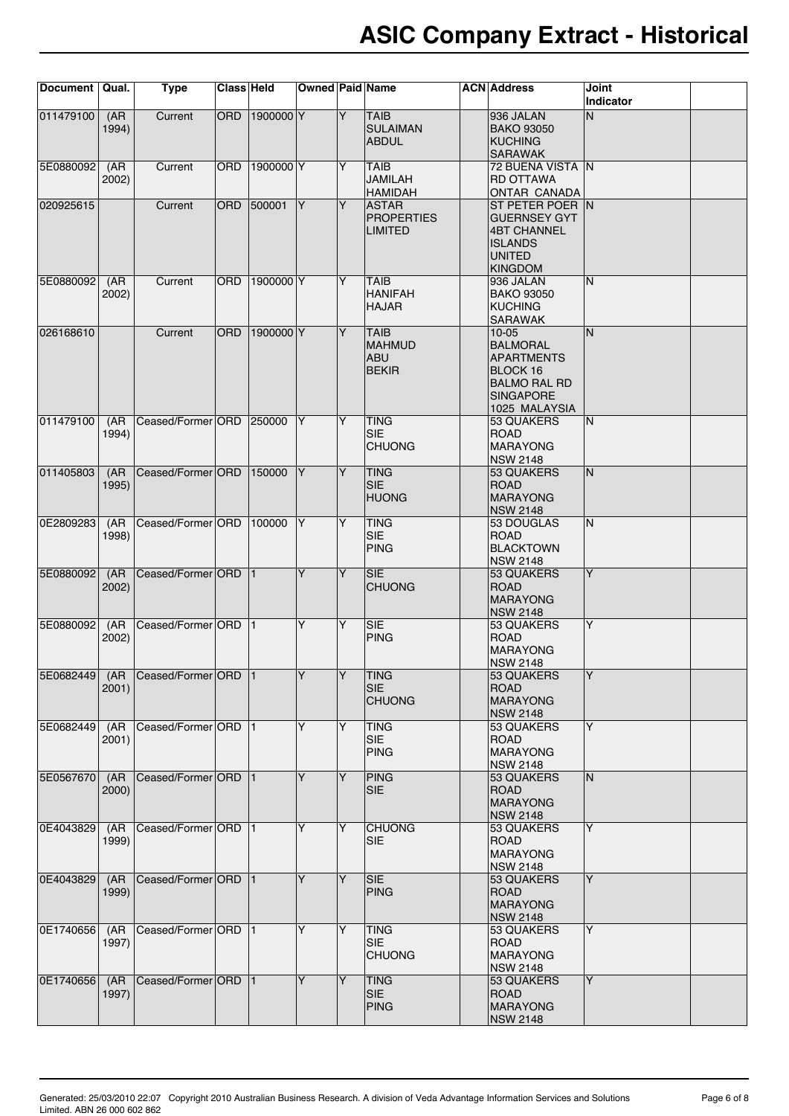| Document   Qual. |               | <b>Type</b>                       | Class Held |           | <b>Owned Paid Name</b> |   |                                                            | <b>ACN</b> Address                                                                                                           | Joint<br>Indicator |  |
|------------------|---------------|-----------------------------------|------------|-----------|------------------------|---|------------------------------------------------------------|------------------------------------------------------------------------------------------------------------------------------|--------------------|--|
| 011479100        | (AR)<br>1994) | Current                           | <b>ORD</b> | 1900000 Y |                        | Y | <b>TAIB</b><br><b>SULAIMAN</b><br><b>ABDUL</b>             | 936 JALAN<br><b>BAKO 93050</b><br><b>KUCHING</b><br><b>SARAWAK</b>                                                           | N                  |  |
| 5E08800921       | (AR)<br>2002) | Current                           | <b>ORD</b> | 1900000 Y |                        | Y | <b>TAIB</b><br><b>JAMILAH</b><br><b>HAMIDAH</b>            | 72 BUENA VISTA N<br><b>RD OTTAWA</b><br><b>ONTAR CANADA</b>                                                                  |                    |  |
| 020925615        |               | Current                           | <b>ORD</b> | 500001    | IY.                    | Y | <b>ASTAR</b><br><b>PROPERTIES</b><br><b>LIMITED</b>        | ST PETER POER N<br><b>GUERNSEY GYT</b><br><b>4BT CHANNEL</b><br><b>ISLANDS</b><br><b>UNITED</b><br>KINGDOM                   |                    |  |
| 5E0880092        | (AR)<br>2002) | Current                           | ORD        | 1900000 Y |                        | Y | <b>TAIB</b><br><b>HANIFAH</b><br><b>HAJAR</b>              | 936 JALAN<br><b>BAKO 93050</b><br>KUCHING<br><b>SARAWAK</b>                                                                  | N                  |  |
| 026168610        |               | Current                           | <b>ORD</b> | 1900000 Y |                        | Y | <b>TAIB</b><br><b>MAHMUD</b><br><b>ABU</b><br><b>BEKIR</b> | 10-05<br><b>BALMORAL</b><br><b>APARTMENTS</b><br><b>BLOCK 16</b><br><b>BALMO RAL RD</b><br><b>SINGAPORE</b><br>1025 MALAYSIA | N                  |  |
| 011479100        | (AR<br>1994)  | Ceased/Former ORD                 |            | 250000    | Y                      | Y | <b>TING</b><br><b>SIE</b><br><b>CHUONG</b>                 | 53 QUAKERS<br><b>ROAD</b><br>MARAYONG<br><b>NSW 2148</b>                                                                     | N                  |  |
| 011405803        | (AR)<br>1995) | Ceased/Former ORD                 |            | 150000    | $\overline{Y}$         | Y | <b>TING</b><br><b>SIE</b><br><b>HUONG</b>                  | 53 QUAKERS<br><b>ROAD</b><br>MARAYONG<br>NSW 2148                                                                            | IN.                |  |
| OE2809283        | (AR)<br>1998) | Ceased/Former ORD                 |            | 100000    | lY.                    | Y | <b>TING</b><br><b>SIE</b><br><b>PING</b>                   | 53 DOUGLAS<br><b>ROAD</b><br><b>BLACKTOWN</b><br><b>NSW 2148</b>                                                             | N                  |  |
| 5E0880092        | (AR)<br>2002) | Ceased/Former ORD                 |            | 11.       | Y                      | Y | <b>SIE</b><br><b>CHUONG</b>                                | 53 QUAKERS<br><b>ROAD</b><br><b>MARAYONG</b><br>NSW 2148                                                                     | Y                  |  |
| 5E0880092        | (AR)<br>2002) | Ceased/Former ORD                 |            | 11.       | Y                      | Y | <b>SIE</b><br>PING                                         | 53 QUAKERS<br><b>ROAD</b><br>MARAYONG<br>NSW 2148                                                                            | $\overline{Y}$     |  |
|                  | 2001)         | 5E0682449 (AR Ceased/Former ORD 1 |            |           | lY.                    |   | TING<br><b>SIE</b><br><b>CHUONG</b>                        | 53 QUAKERS<br><b>ROAD</b><br>MARAYONG<br><b>NSW 2148</b>                                                                     |                    |  |
| 5E0682449        | (AR<br>2001)  | Ceased/Former ORD                 |            | 11.       | Y                      | Y | <b>TING</b><br>SIE<br><b>PING</b>                          | 53 QUAKERS<br>ROAD<br><b>MARAYONG</b><br><b>INSW 2148</b>                                                                    | Y                  |  |
| 5E0567670        | (AR)<br>2000) | Ceased/Former ORD 1               |            |           | Y                      | Y | <b>PING</b><br><b>SIE</b>                                  | 53 QUAKERS<br><b>ROAD</b><br>MARAYONG<br><b>NSW 2148</b>                                                                     | N                  |  |
| OE4043829        | (AR)<br>1999) | Ceased/Former ORD                 |            | $\vert$ 1 | Y                      | Y | <b>CHUONG</b><br><b>SIE</b>                                | 53 QUAKERS<br><b>ROAD</b><br>MARAYONG<br><b>NSW 2148</b>                                                                     | Y                  |  |
| OE4043829        | (AR)<br>1999) | Ceased/Former ORD                 |            | $\vert$ 1 | Y                      | Y | <b>SIE</b><br>PING                                         | 53 QUAKERS<br><b>ROAD</b><br>MARAYONG<br><b>NSW 2148</b>                                                                     | Y                  |  |
| OE1740656        | (AR)<br>1997) | Ceased/Former ORD                 |            | $\vert$ 1 | Y                      | Y | <b>TING</b><br><b>SIE</b><br><b>CHUONG</b>                 | 53 QUAKERS<br><b>ROAD</b><br>MARAYONG<br><b>NSW 2148</b>                                                                     | Y                  |  |
| 0E1740656        | (AR)<br>1997) | Ceased/Former ORD                 |            | 11        | Y                      | Y | <b>TING</b><br><b>SIE</b><br><b>PING</b>                   | 53 QUAKERS<br>ROAD<br>MARAYONG<br>NSW 2148                                                                                   | $\overline{Y}$     |  |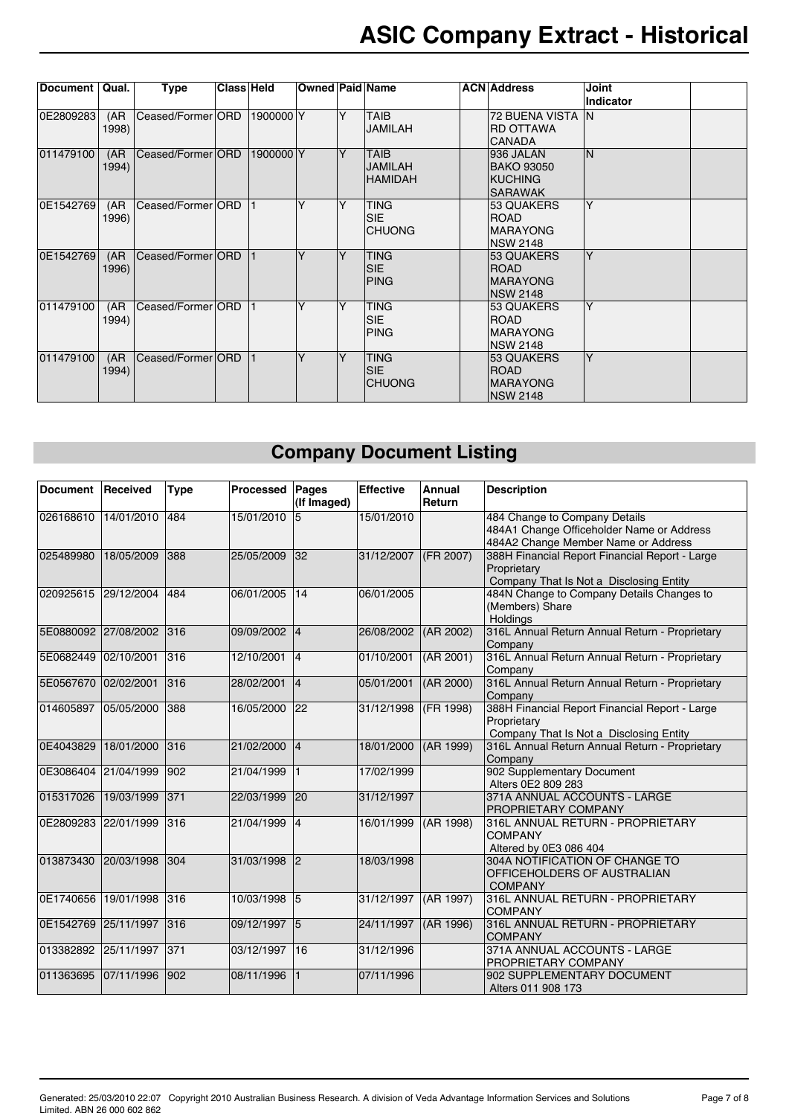| Document  | Qual.         | <b>Type</b>       | Class Held |           | <b>Owned Paid Name</b> |   |                                                 | <b>ACN</b> Address                                                 | <b>Joint</b><br><b>Indicator</b> |  |
|-----------|---------------|-------------------|------------|-----------|------------------------|---|-------------------------------------------------|--------------------------------------------------------------------|----------------------------------|--|
| OE2809283 | (AR)<br>1998) | Ceased/Former ORD |            | 1900000 Y |                        | Y | <b>TAIB</b><br><b>JAMILAH</b>                   | <b>72 BUENA VISTA</b><br><b>IRD OTTAWA</b><br><b>CANADA</b>        | IN.                              |  |
| 011479100 | (AR)<br>1994) | Ceased/Former ORD |            | 1900000 Y |                        | Y | <b>TAIB</b><br><b>JAMILAH</b><br><b>HAMIDAH</b> | 936 JALAN<br>BAKO 93050<br><b>KUCHING</b><br><b>SARAWAK</b>        | N                                |  |
| OE1542769 | (AR)<br>1996) | Ceased/Former ORD |            |           | Υ                      | Υ | <b>TING</b><br><b>SIE</b><br><b>ICHUONG</b>     | 53 QUAKERS<br><b>ROAD</b><br><b>IMARAYONG</b><br><b>NSW 2148</b>   | Υ                                |  |
| OE1542769 | (AR)<br>1996) | Ceased/Former ORD |            |           | Υ                      | Υ | <b>TING</b><br><b>SIE</b><br><b>PING</b>        | 153 QUAKERS<br><b>IROAD</b><br><b>MARAYONG</b><br><b>INSW 2148</b> | Y                                |  |
| 011479100 | (AR<br>1994)  | Ceased/Former ORD |            |           | Υ                      | Υ | <b>TING</b><br><b>SIE</b><br><b>PING</b>        | 53 QUAKERS<br><b>ROAD</b><br><b>MARAYONG</b><br><b>INSW 2148</b>   | Y                                |  |
| 011479100 | (AR)<br>1994) | Ceased/Former ORD |            |           | Y                      | Y | <b>TING</b><br><b>SIE</b><br><b>CHUONG</b>      | 53 QUAKERS<br><b>ROAD</b><br><b>IMARAYONG</b><br><b>INSW 2148</b>  | Y                                |  |

## **Company Document Listing**

<span id="page-6-0"></span>

| <b>Document</b>      | Received   | <b>Type</b>   | Processed    | Pages<br>(If Imaged) | <b>Effective</b> | Annual<br>Return | <b>Description</b>                                                                                                |  |
|----------------------|------------|---------------|--------------|----------------------|------------------|------------------|-------------------------------------------------------------------------------------------------------------------|--|
| 026168610 14/01/2010 |            | 484           | 15/01/2010   |                      | 15/01/2010       |                  | 484 Change to Company Details<br>484A1 Change Officeholder Name or Address<br>484A2 Change Member Name or Address |  |
| 025489980            | 18/05/2009 | 388           | 25/05/2009   | 32                   | 31/12/2007       | (FR 2007)        | 388H Financial Report Financial Report - Large<br>Proprietary<br>Company That Is Not a Disclosing Entity          |  |
| 020925615            | 29/12/2004 | 484           | 06/01/2005   | 14                   | 06/01/2005       |                  | 484N Change to Company Details Changes to<br>(Members) Share<br>Holdings                                          |  |
| 5E0880092            | 27/08/2002 | 316           | 09/09/2002   | 4                    | 26/08/2002       | (AR 2002)        | 316L Annual Return Annual Return - Proprietary<br>Company                                                         |  |
| 5E0682449            | 02/10/2001 | 316           | 12/10/2001   | 4                    | 01/10/2001       | (AR 2001)        | 316L Annual Return Annual Return - Proprietary<br>Company                                                         |  |
| 5E0567670            | 02/02/2001 | 316           | 28/02/2001   | 4                    | 05/01/2001       | (AR 2000)        | 316L Annual Return Annual Return - Proprietary<br>Company                                                         |  |
| 014605897            | 05/05/2000 | 388           | 16/05/2000   | $ 22\rangle$         | 31/12/1998       | (FR 1998)        | 388H Financial Report Financial Report - Large<br>Proprietary<br>Company That Is Not a Disclosing Entity          |  |
| 0E4043829            | 18/01/2000 | 316           | 21/02/2000   | 4                    | 18/01/2000       | (AR 1999)        | 316L Annual Return Annual Return - Proprietary<br>Company                                                         |  |
| 0E3086404 21/04/1999 |            | 902           | 21/04/1999   | $\mathbf{1}$         | 17/02/1999       |                  | 902 Supplementary Document<br>Alters 0E2 809 283                                                                  |  |
| 015317026            | 19/03/1999 | 371           | 22/03/1999   | $ 20\rangle$         | 31/12/1997       |                  | 371A ANNUAL ACCOUNTS - LARGE<br><b>PROPRIETARY COMPANY</b>                                                        |  |
| OE2809283            | 22/01/1999 | 316           | 21/04/1999   | 4                    | 16/01/1999       | (AR 1998)        | 316L ANNUAL RETURN - PROPRIETARY<br><b>COMPANY</b><br>Altered by 0E3 086 404                                      |  |
| 013873430 20/03/1998 |            | 304           | 31/03/1998 2 |                      | 18/03/1998       |                  | 304A NOTIFICATION OF CHANGE TO<br><b>OFFICEHOLDERS OF AUSTRALIAN</b><br><b>COMPANY</b>                            |  |
| OE1740656            | 19/01/1998 | 316           | 10/03/1998   | 15                   | 31/12/1997       | (AR 1997)        | 316L ANNUAL RETURN - PROPRIETARY<br><b>COMPANY</b>                                                                |  |
| OE1542769            | 25/11/1997 | 316           | 09/12/1997   | $\overline{5}$       | 24/11/1997       | (AR 1996)        | 316L ANNUAL RETURN - PROPRIETARY<br><b>COMPANY</b>                                                                |  |
| 013382892            | 25/11/1997 | 371           | 03/12/1997   | 16                   | 31/12/1996       |                  | 371A ANNUAL ACCOUNTS - LARGE<br>PROPRIETARY COMPANY                                                               |  |
| 011363695            | 07/11/1996 | $ 902\rangle$ | 08/11/1996   |                      | 07/11/1996       |                  | 902 SUPPLEMENTARY DOCUMENT<br>Alters 011 908 173                                                                  |  |